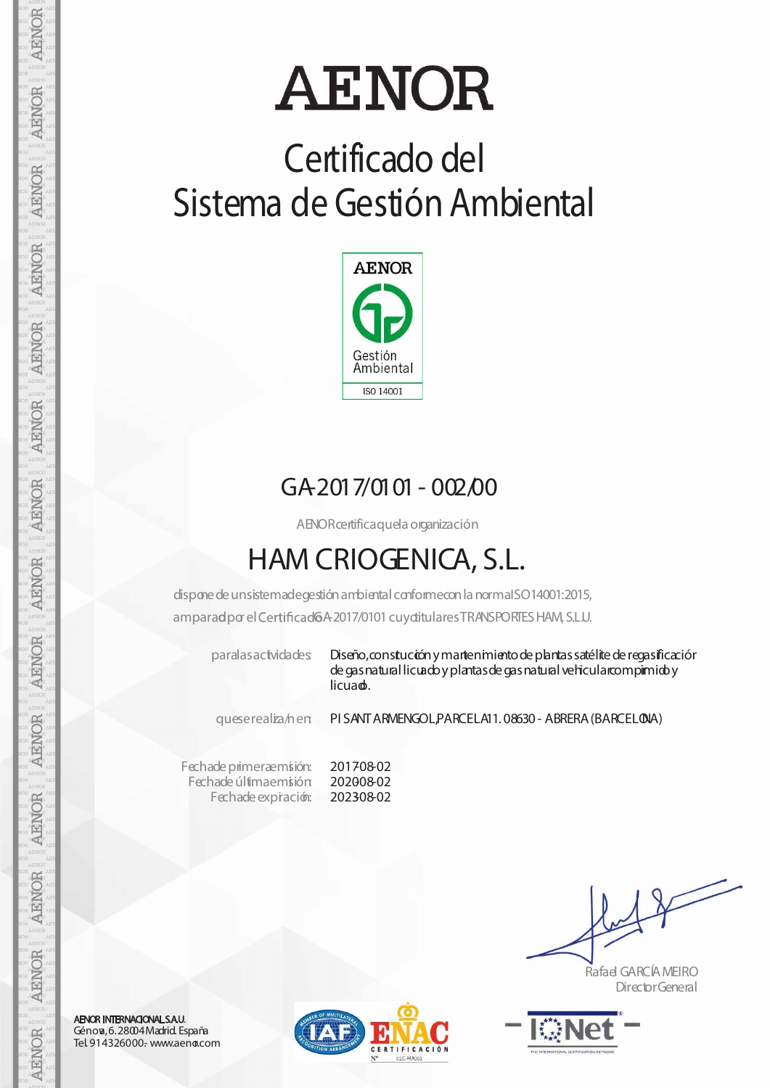# **AENOR**

### **Certificado del Sistema de Gestión Ambiental**



#### GA-2017/0101- 002/00

AENORcertificaquela organización

### **HAM CRIOGENICA, S.L.**

dispone de unsistemadegestión ambiental conformecon la normaISO14001:2015, amparad por el Certificad 6A-2017/0101 cuy ditulares TRANSPORTES HAM, S.L.U.

paralasactvidades Diseño, constución y martenimiento de plantas satélite de regasificación de gas natural licuado y plantas de gas natural vehicularcompimido y licuad.

queserealiza/nen: PI SANTARMENGOL,PARCELA11. 08630- ABRERA(BARCELONA)

Fechade primeraemisión: Fechade últimae misión Fechade expiración: 201708-02 202008-02 202308-02

Rafael GARCÍAMEIRO DirectorGeneral



AENOR INTERNACIONAL S.A.U. Génova,6.28004Madrid. España Tel. 914326000.- www.aeno.com



AENOR

**AENOR** 

AENOR

**AENOR** 

AENOR